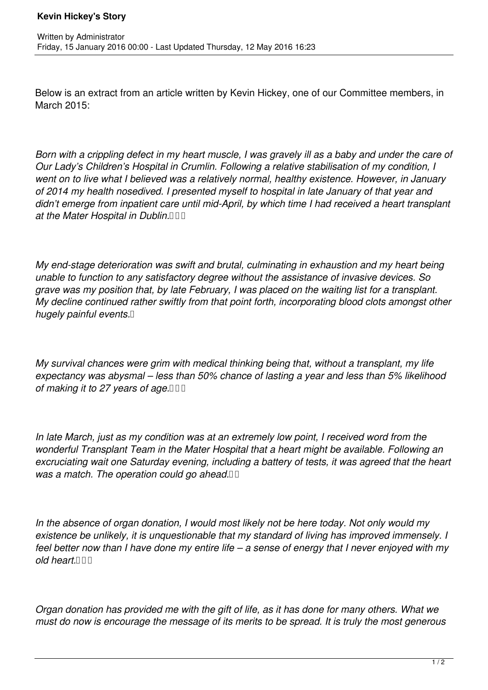Below is an extract from an article written by Kevin Hickey, one of our Committee members, in March 2015:

*Born with a crippling defect in my heart muscle, I was gravely ill as a baby and under the care of Our Lady's Children's Hospital in Crumlin. Following a relative stabilisation of my condition, I went on to live what I believed was a relatively normal, healthy existence. However, in January of 2014 my health nosedived. I presented myself to hospital in late January of that year and didn't emerge from inpatient care until mid-April, by which time I had received a heart transplant* at the Mater Hospital in Dublin.<sup>11</sup>

*My end-stage deterioration was swift and brutal, culminating in exhaustion and my heart being unable to function to any satisfactory degree without the assistance of invasive devices. So grave was my position that, by late February, I was placed on the waiting list for a transplant. My decline continued rather swiftly from that point forth, incorporating blood clots amongst other hugely painful events.* 

*My survival chances were grim with medical thinking being that, without a transplant, my life expectancy was abysmal – less than 50% chance of lasting a year and less than 5% likelihood of making it to 27 years of age.*  $\Box$ 

*In late March, just as my condition was at an extremely low point, I received word from the wonderful Transplant Team in the Mater Hospital that a heart might be available. Following an excruciating wait one Saturday evening, including a battery of tests, it was agreed that the heart* was a match. The operation could go ahead. **II** 

*In the absence of organ donation, I would most likely not be here today. Not only would my existence be unlikely, it is unquestionable that my standard of living has improved immensely. I feel better now than I have done my entire life – a sense of energy that I never enjoyed with my*  $old$  heart. $\Box \Box$ 

*Organ donation has provided me with the gift of life, as it has done for many others. What we must do now is encourage the message of its merits to be spread. It is truly the most generous*